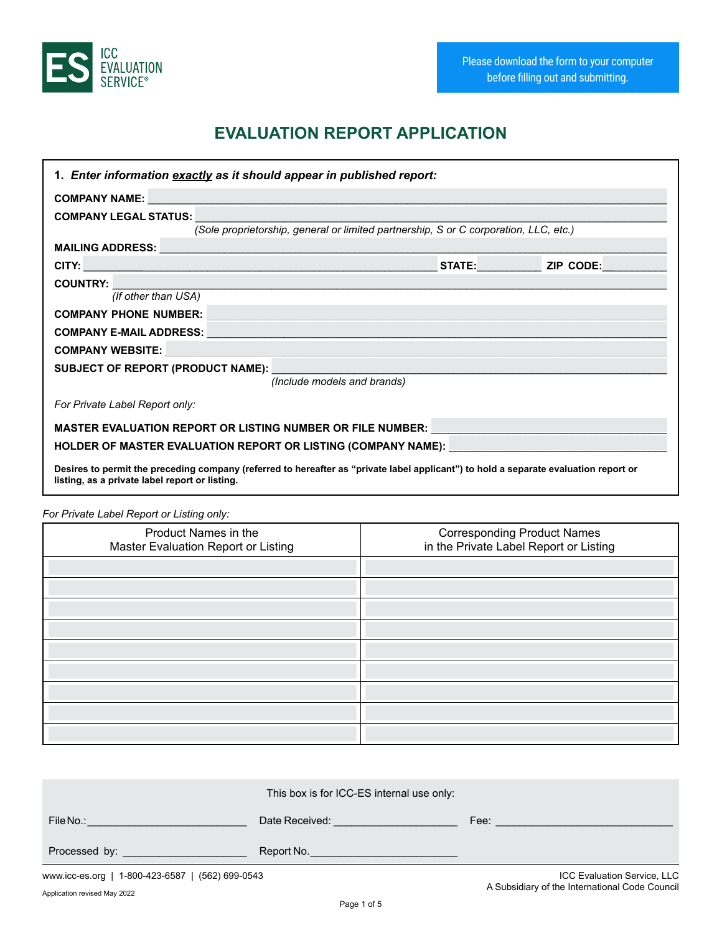

# **EVALUATION REPORT APPLICATION**

| 1. Enter information exactly as it should appear in published report:                                                                                                                                                          |  |                  |  |
|--------------------------------------------------------------------------------------------------------------------------------------------------------------------------------------------------------------------------------|--|------------------|--|
| COMPANY NAME:                                                                                                                                                                                                                  |  |                  |  |
| <b>COMPANY LEGAL STATUS:</b>                                                                                                                                                                                                   |  |                  |  |
| (Sole proprietorship, general or limited partnership, S or C corporation, LLC, etc.)                                                                                                                                           |  |                  |  |
| MAILING ADDRESS: University of the contract of the contract of the contract of the contract of the contract of                                                                                                                 |  |                  |  |
| CITY: University of the contract of the contract of the contract of the contract of the contract of the contract of the contract of the contract of the contract of the contract of the contract of the contract of the contra |  | STATE: ZIP CODE: |  |
| COUNTRY: COUNTRY:                                                                                                                                                                                                              |  |                  |  |
| (If other than USA)                                                                                                                                                                                                            |  |                  |  |
| COMPANY PHONE NUMBER: And the company of the company of the company of the company of the company of the company of the company of the company of the company of the company of the company of the company of the company of t |  |                  |  |
| COMPANY E-MAIL ADDRESS: University of the company of the company of the company of the company of the company of the company of the company of the company of the company of the company of the company of the company of the  |  |                  |  |
| COMPANY WEBSITE: WebSite: WebSite: WebSite: WebSite: WebSite: WebSite: WebSite: WebSite: WebSite: WebSite: Web                                                                                                                 |  |                  |  |
|                                                                                                                                                                                                                                |  |                  |  |
| (Include models and brands)                                                                                                                                                                                                    |  |                  |  |
| For Private Label Report only:                                                                                                                                                                                                 |  |                  |  |
| MASTER EVALUATION REPORT OR LISTING NUMBER OR FILE NUMBER: University of the state of the state of the state o                                                                                                                 |  |                  |  |
| HOLDER OF MASTER EVALUATION REPORT OR LISTING (COMPANY NAME): NAMEL AND AN ANNOUNCED AND AN ALL AND AN AN ALL                                                                                                                  |  |                  |  |
| Desires to permit the preceding company (referred to hereafter as "private label applicant") to hold a separate evaluation report or<br>listing, as a private label report or listing.                                         |  |                  |  |

*For Private Label Report or Listing only:*

| $\sim$ $\sim$                                               |                                                                       |
|-------------------------------------------------------------|-----------------------------------------------------------------------|
| Product Names in the<br>Master Evaluation Report or Listing | Corresponding Product Names<br>in the Private Label Report or Listing |
|                                                             |                                                                       |
|                                                             |                                                                       |
|                                                             |                                                                       |
|                                                             |                                                                       |
|                                                             |                                                                       |
|                                                             |                                                                       |
|                                                             |                                                                       |
|                                                             |                                                                       |
|                                                             |                                                                       |

|                                                  | This box is for ICC-ES internal use only: |      |                             |
|--------------------------------------------------|-------------------------------------------|------|-----------------------------|
| File No.:                                        | Date Received:                            | Fee: |                             |
| Processed by:                                    | Report No.                                |      |                             |
| www.icc-es.org   1-800-423-6587   (562) 699-0543 |                                           |      | ICC Evaluation Service, LLC |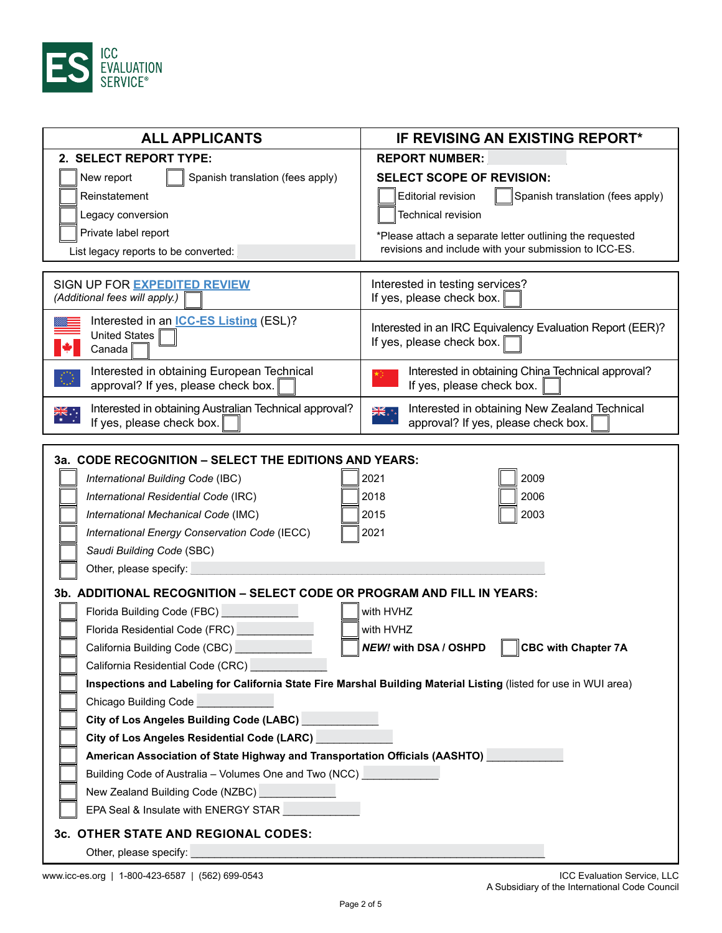

| <b>ALL APPLICANTS</b>                                                                                             | IF REVISING AN EXISTING REPORT*                                                                |  |
|-------------------------------------------------------------------------------------------------------------------|------------------------------------------------------------------------------------------------|--|
| 2. SELECT REPORT TYPE:                                                                                            | <b>REPORT NUMBER:</b>                                                                          |  |
| New report<br>Spanish translation (fees apply)                                                                    | <b>SELECT SCOPE OF REVISION:</b>                                                               |  |
| Reinstatement                                                                                                     | <b>Editorial revision</b><br>Spanish translation (fees apply)                                  |  |
| Legacy conversion                                                                                                 | Technical revision                                                                             |  |
| Private label report                                                                                              | *Please attach a separate letter outlining the requested                                       |  |
| List legacy reports to be converted:                                                                              | revisions and include with your submission to ICC-ES.                                          |  |
|                                                                                                                   |                                                                                                |  |
| SIGN UP FOR EXPEDITED REVIEW                                                                                      | Interested in testing services?                                                                |  |
| (Additional fees will apply.)                                                                                     | If yes, please check box.                                                                      |  |
| Interested in an <b>ICC-ES Listing</b> (ESL)?                                                                     | Interested in an IRC Equivalency Evaluation Report (EER)?                                      |  |
| United States<br>Canada                                                                                           | If yes, please check box.                                                                      |  |
|                                                                                                                   |                                                                                                |  |
| Interested in obtaining European Technical<br>approval? If yes, please check box.                                 | Interested in obtaining China Technical approval?<br>If yes, please check box.                 |  |
|                                                                                                                   |                                                                                                |  |
| Interested in obtaining Australian Technical approval?<br>ैं और<br>If yes, please check box.                      | Interested in obtaining New Zealand Technical<br>XK : *<br>approval? If yes, please check box. |  |
|                                                                                                                   |                                                                                                |  |
| 3a. CODE RECOGNITION - SELECT THE EDITIONS AND YEARS:                                                             |                                                                                                |  |
| International Building Code (IBC)                                                                                 | 2009<br>2021                                                                                   |  |
| International Residential Code (IRC)                                                                              | 2018<br>2006                                                                                   |  |
| International Mechanical Code (IMC)                                                                               | 2003<br>2015                                                                                   |  |
| International Energy Conservation Code (IECC)                                                                     | 2021                                                                                           |  |
| Saudi Building Code (SBC)                                                                                         |                                                                                                |  |
| Other, please specify:                                                                                            |                                                                                                |  |
|                                                                                                                   |                                                                                                |  |
| 3b. ADDITIONAL RECOGNITION - SELECT CODE OR PROGRAM AND FILL IN YEARS:                                            |                                                                                                |  |
| Florida Building Code (FBC)                                                                                       | with HVHZ                                                                                      |  |
| Florida Residential Code (FRC)                                                                                    | with HVHZ                                                                                      |  |
| California Building Code (CBC)                                                                                    | <b>CBC with Chapter 7A</b><br><b>NEW!</b> with DSA / OSHPD                                     |  |
| California Residential Code (CRC) California                                                                      |                                                                                                |  |
| Inspections and Labeling for California State Fire Marshal Building Material Listing (listed for use in WUI area) |                                                                                                |  |
| Chicago Building Code                                                                                             |                                                                                                |  |
| City of Los Angeles Building Code (LABC) <b>City of Los Angeles Building Code (LABC)</b>                          |                                                                                                |  |
| City of Los Angeles Residential Code (LARC) <b>City of Los Angeles Residential Code (LARC)</b>                    |                                                                                                |  |
| American Association of State Highway and Transportation Officials (AASHTO)                                       |                                                                                                |  |
| Building Code of Australia - Volumes One and Two (NCC) Change Code of Australian                                  |                                                                                                |  |
| New Zealand Building Code (NZBC)                                                                                  |                                                                                                |  |
| EPA Seal & Insulate with ENERGY STAR                                                                              |                                                                                                |  |
| 3c. OTHER STATE AND REGIONAL CODES:                                                                               |                                                                                                |  |
| Other, please specify:                                                                                            |                                                                                                |  |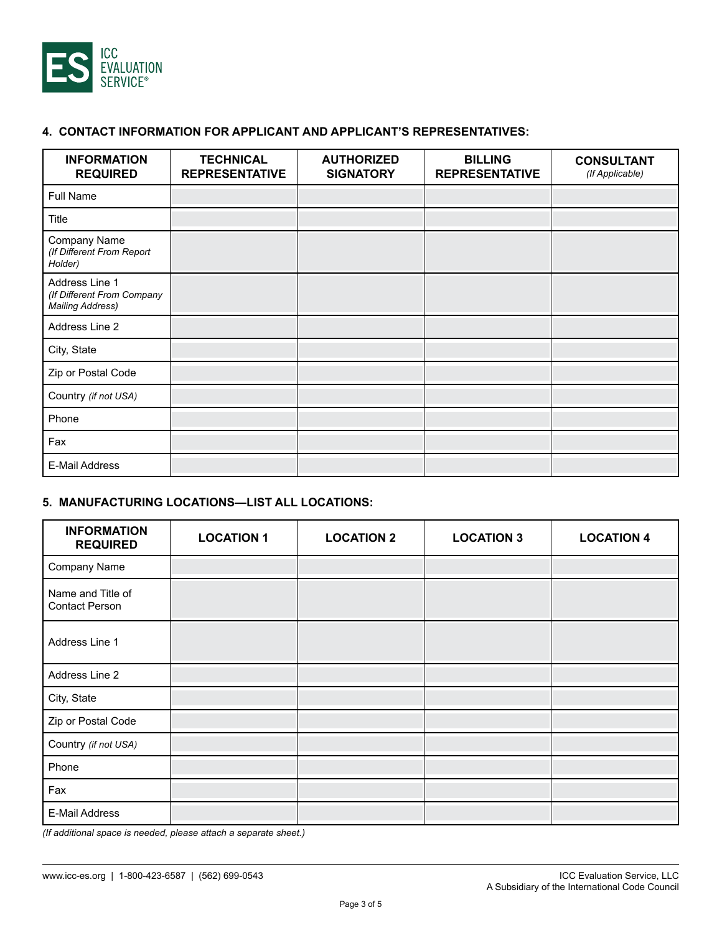

# **4. CONTACT INFORMATION FOR APPLICANT AND APPLICANT'S REPRESENTATIVES:**

| <b>INFORMATION</b><br><b>REQUIRED</b>                                   | <b>TECHNICAL</b><br><b>REPRESENTATIVE</b> | <b>AUTHORIZED</b><br><b>SIGNATORY</b> | <b>BILLING</b><br><b>REPRESENTATIVE</b> | <b>CONSULTANT</b><br>(If Applicable) |
|-------------------------------------------------------------------------|-------------------------------------------|---------------------------------------|-----------------------------------------|--------------------------------------|
| <b>Full Name</b>                                                        |                                           |                                       |                                         |                                      |
| Title                                                                   |                                           |                                       |                                         |                                      |
| <b>Company Name</b><br>(If Different From Report<br>Holder)             |                                           |                                       |                                         |                                      |
| Address Line 1<br>(If Different From Company<br><b>Mailing Address)</b> |                                           |                                       |                                         |                                      |
| Address Line 2                                                          |                                           |                                       |                                         |                                      |
| City, State                                                             |                                           |                                       |                                         |                                      |
| Zip or Postal Code                                                      |                                           |                                       |                                         |                                      |
| Country (if not USA)                                                    |                                           |                                       |                                         |                                      |
| Phone                                                                   |                                           |                                       |                                         |                                      |
| Fax                                                                     |                                           |                                       |                                         |                                      |
| <b>E-Mail Address</b>                                                   |                                           |                                       |                                         |                                      |

# **5. MANUFACTURING LOCATIONS—LIST ALL LOCATIONS:**

| <b>INFORMATION</b><br><b>REQUIRED</b>      | <b>LOCATION 1</b> | <b>LOCATION 2</b> | <b>LOCATION 3</b> | <b>LOCATION 4</b> |
|--------------------------------------------|-------------------|-------------------|-------------------|-------------------|
| Company Name                               |                   |                   |                   |                   |
| Name and Title of<br><b>Contact Person</b> |                   |                   |                   |                   |
| Address Line 1                             |                   |                   |                   |                   |
| Address Line 2                             |                   |                   |                   |                   |
| City, State                                |                   |                   |                   |                   |
| Zip or Postal Code                         |                   |                   |                   |                   |
| Country (if not USA)                       |                   |                   |                   |                   |
| Phone                                      |                   |                   |                   |                   |
| Fax                                        |                   |                   |                   |                   |
| E-Mail Address                             |                   |                   |                   |                   |

*(If additional space is needed, please attach a separate sheet.)*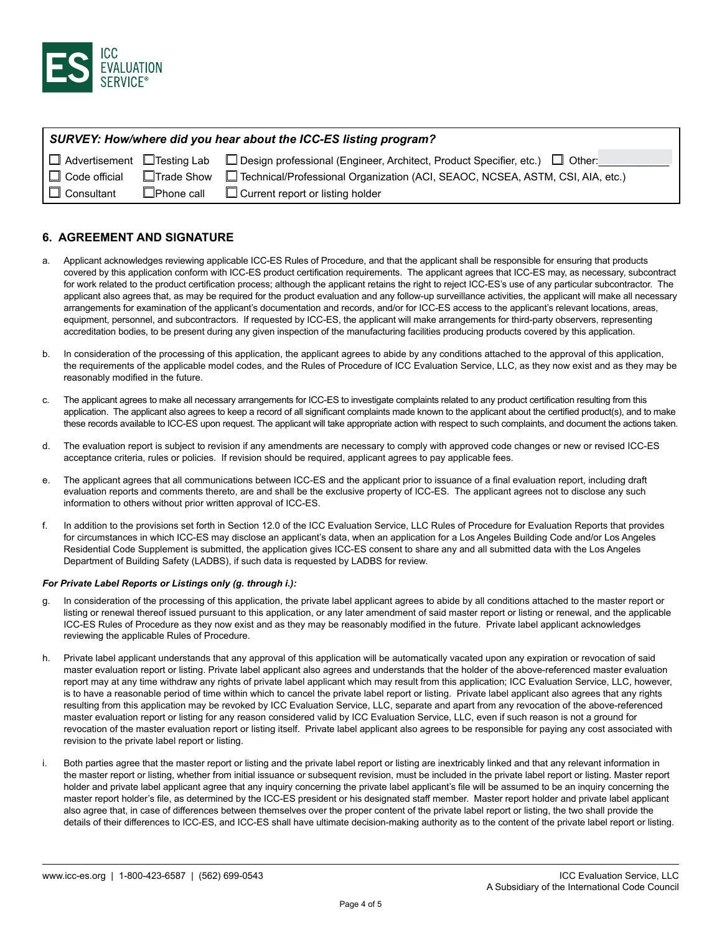

| SURVEY: How/where did you hear about the ICC-ES listing program? |                   |                                                                                                             |  |
|------------------------------------------------------------------|-------------------|-------------------------------------------------------------------------------------------------------------|--|
|                                                                  |                   | □ Advertisement □ Testing Lab □ Design professional (Engineer, Architect, Product Specifier, etc.) □ Other: |  |
| $\Box$ Code official                                             | $\Box$ Trade Show | □ Technical/Professional Organization (ACI, SEAOC, NCSEA, ASTM, CSI, AIA, etc.)                             |  |
| $\Box$ Consultant                                                | $\Box$ Phone call | $\Box$ Current report or listing holder                                                                     |  |

### **6. AGREEMENT AND SIGNATURE**

- a. Applicant acknowledges reviewing applicable ICC-ES Rules of Procedure, and that the applicant shall be responsible for ensuring that products covered by this application conform with ICC-ES product certification requirements. The applicant agrees that ICC-ES may, as necessary, subcontract for work related to the product certification process; although the applicant retains the right to reject ICC-ES's use of any particular subcontractor. The applicant also agrees that, as may be required for the product evaluation and any follow-up surveillance activities, the applicant will make all necessary arrangements for examination of the applicant's documentation and records, and/or for ICC-ES access to the applicant's relevant locations, areas, equipment, personnel, and subcontractors. If requested by ICC-ES, the applicant will make arrangements for third-party observers, representing accreditation bodies, to be present during any given inspection of the manufacturing facilities producing products covered by this application.
- b. In consideration of the processing of this application, the applicant agrees to abide by any conditions attached to the approval of this application, the requirements of the applicable model codes, and the Rules of Procedure of ICC Evaluation Service, LLC, as they now exist and as they may be reasonably modified in the future.
- c. The applicant agrees to make all necessary arrangements for ICC-ES to investigate complaints related to any product certification resulting from this application. The applicant also agrees to keep a record of all significant complaints made known to the applicant about the certified product(s), and to make these records available to ICC-ES upon request. The applicant will take appropriate action with respect to such complaints, and document the actions taken.
- d. The evaluation report is subject to revision if any amendments are necessary to comply with approved code changes or new or revised ICC-ES acceptance criteria, rules or policies. If revision should be required, applicant agrees to pay applicable fees.
- e. The applicant agrees that all communications between ICC-ES and the applicant prior to issuance of a final evaluation report, including draft evaluation reports and comments thereto, are and shall be the exclusive property of ICC-ES. The applicant agrees not to disclose any such information to others without prior written approval of ICC-ES.
- f. In addition to the provisions set forth in Section 12.0 of the ICC Evaluation Service, LLC Rules of Procedure for Evaluation Reports that provides for circumstances in which ICC-ES may disclose an applicant's data, when an application for a Los Angeles Building Code and/or Los Angeles Residential Code Supplement is submitted, the application gives ICC-ES consent to share any and all submitted data with the Los Angeles Department of Building Safety (LADBS), if such data is requested by LADBS for review.

### *For Private Label Reports or Listings only (g. through i.):*

- g. In consideration of the processing of this application, the private label applicant agrees to abide by all conditions attached to the master report or listing or renewal thereof issued pursuant to this application, or any later amendment of said master report or listing or renewal, and the applicable ICC-ES Rules of Procedure as they now exist and as they may be reasonably modified in the future. Private label applicant acknowledges reviewing the applicable Rules of Procedure.
- h. Private label applicant understands that any approval of this application will be automatically vacated upon any expiration or revocation of said master evaluation report or listing. Private label applicant also agrees and understands that the holder of the above-referenced master evaluation report may at any time withdraw any rights of private label applicant which may result from this application; ICC Evaluation Service, LLC, however, is to have a reasonable period of time within which to cancel the private label report or listing. Private label applicant also agrees that any rights resulting from this application may be revoked by ICC Evaluation Service, LLC, separate and apart from any revocation of the above-referenced master evaluation report or listing for any reason considered valid by ICC Evaluation Service, LLC, even if such reason is not a ground for revocation of the master evaluation report or listing itself. Private label applicant also agrees to be responsible for paying any cost associated with revision to the private label report or listing.
- i. Both parties agree that the master report or listing and the private label report or listing are inextricably linked and that any relevant information in the master report or listing, whether from initial issuance or subsequent revision, must be included in the private label report or listing. Master report holder and private label applicant agree that any inquiry concerning the private label applicant's file will be assumed to be an inquiry concerning the master report holder's file, as determined by the ICC-ES president or his designated staff member. Master report holder and private label applicant also agree that, in case of differences between themselves over the proper content of the private label report or listing, the two shall provide the details of their differences to ICC-ES, and ICC-ES shall have ultimate decision-making authority as to the content of the private label report or listing.